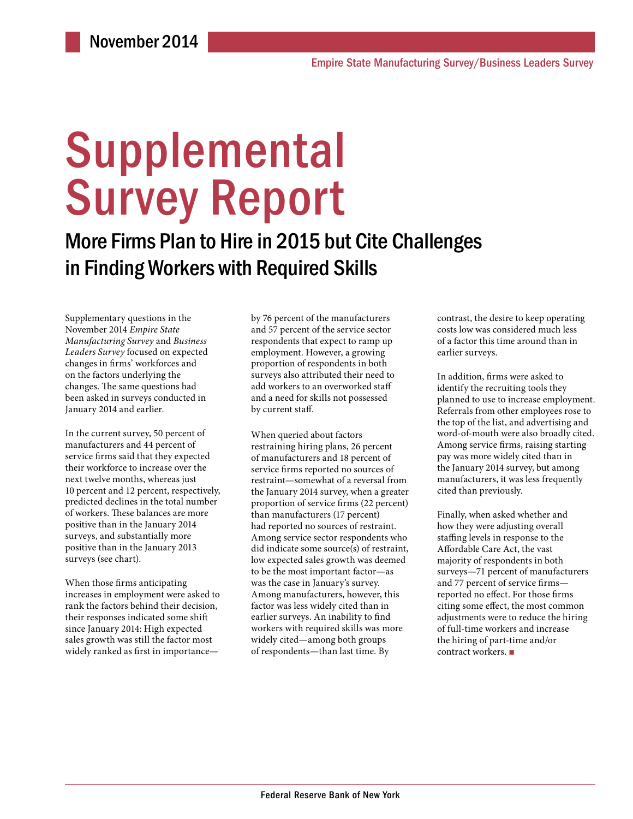# **Supplemental** Survey Report

More Firms Plan to Hire in 2015 but Cite Challenges in Finding Workers with Required Skills

Supplementary questions in the November 2014 *Empire State Manufacturing Survey* and *Business Leaders Survey* focused on expected changes in firms' workforces and on the factors underlying the changes. The same questions had been asked in surveys conducted in January 2014 and earlier.

In the current survey, 50 percent of manufacturers and 44 percent of service firms said that they expected their workforce to increase over the next twelve months, whereas just 10 percent and 12 percent, respectively, predicted declines in the total number of workers. These balances are more positive than in the January 2014 surveys, and substantially more positive than in the January 2013 surveys (see chart).

When those firms anticipating increases in employment were asked to rank the factors behind their decision, their responses indicated some shift since January 2014: High expected sales growth was still the factor most widely ranked as first in importance—

by 76 percent of the manufacturers and 57 percent of the service sector respondents that expect to ramp up employment. However, a growing proportion of respondents in both surveys also attributed their need to add workers to an overworked staff and a need for skills not possessed by current staff.

When queried about factors restraining hiring plans, 26 percent of manufacturers and 18 percent of service firms reported no sources of restraint—somewhat of a reversal from the January 2014 survey, when a greater proportion of service firms (22 percent) than manufacturers (17 percent) had reported no sources of restraint. Among service sector respondents who did indicate some source(s) of restraint, low expected sales growth was deemed to be the most important factor—as was the case in January's survey. Among manufacturers, however, this factor was less widely cited than in earlier surveys. An inability to find workers with required skills was more widely cited—among both groups of respondents—than last time. By

contrast, the desire to keep operating costs low was considered much less of a factor this time around than in earlier surveys.

In addition, firms were asked to identify the recruiting tools they planned to use to increase employment. Referrals from other employees rose to the top of the list, and advertising and word-of-mouth were also broadly cited. Among service firms, raising starting pay was more widely cited than in the January 2014 survey, but among manufacturers, it was less frequently cited than previously.

Finally, when asked whether and how they were adjusting overall staffing levels in response to the Affordable Care Act, the vast majority of respondents in both surveys—71 percent of manufacturers and 77 percent of service firms reported no effect. For those firms citing some effect, the most common adjustments were to reduce the hiring of full-time workers and increase the hiring of part-time and/or contract workers. ■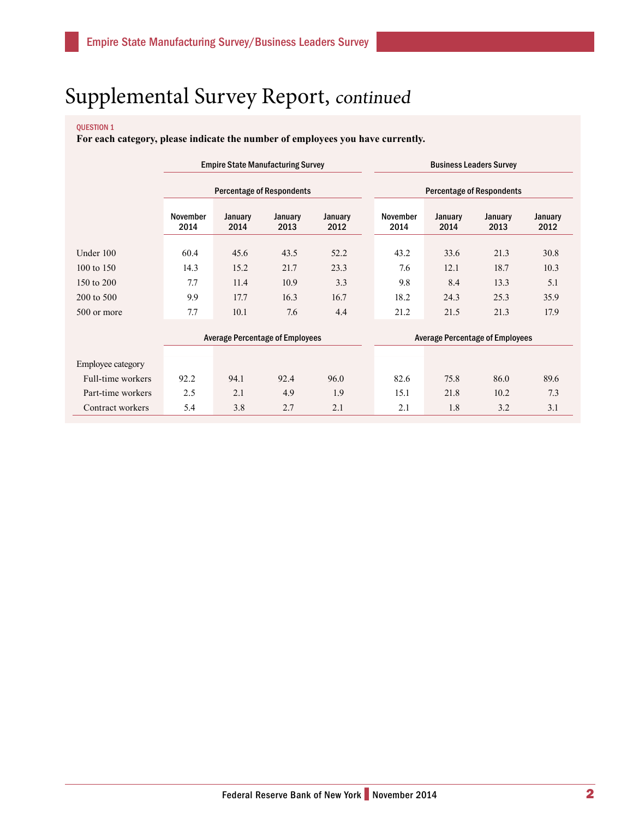### QUESTION 1

**For each category, please indicate the number of employees you have currently.**

|                   | <b>Empire State Manufacturing Survey</b><br><b>Percentage of Respondents</b> |                                        |                 |                 | <b>Business Leaders Survey</b>   |                                        |                 |                 |  |
|-------------------|------------------------------------------------------------------------------|----------------------------------------|-----------------|-----------------|----------------------------------|----------------------------------------|-----------------|-----------------|--|
|                   |                                                                              |                                        |                 |                 | <b>Percentage of Respondents</b> |                                        |                 |                 |  |
|                   | <b>November</b><br>2014                                                      | January<br>2014                        | January<br>2013 | January<br>2012 | <b>November</b><br>2014          | January<br>2014                        | January<br>2013 | January<br>2012 |  |
| Under 100         | 60.4                                                                         | 45.6                                   | 43.5            | 52.2            | 43.2                             | 33.6                                   | 21.3            | 30.8            |  |
| 100 to 150        | 14.3                                                                         | 15.2                                   | 21.7            | 23.3            | 7.6                              | 12.1                                   | 18.7            | 10.3            |  |
| 150 to 200        | 7.7                                                                          | 11.4                                   | 10.9            | 3.3             | 9.8                              | 8.4                                    | 13.3            | 5.1             |  |
| 200 to 500        | 9.9                                                                          | 17.7                                   | 16.3            | 16.7            | 18.2                             | 24.3                                   | 25.3            | 35.9            |  |
| 500 or more       | 7.7                                                                          | 10.1                                   | 7.6             | 4.4             | 21.2                             | 21.5                                   | 21.3            | 17.9            |  |
|                   |                                                                              | <b>Average Percentage of Employees</b> |                 |                 |                                  | <b>Average Percentage of Employees</b> |                 |                 |  |
| Employee category |                                                                              |                                        |                 |                 |                                  |                                        |                 |                 |  |
| Full-time workers | 92.2                                                                         | 94.1                                   | 92.4            | 96.0            | 82.6                             | 75.8                                   | 86.0            | 89.6            |  |
| Part-time workers | 2.5                                                                          | 2.1                                    | 4.9             | 1.9             | 15.1                             | 21.8                                   | 10.2            | 7.3             |  |
| Contract workers  | 5.4                                                                          | 3.8                                    | 2.7             | 2.1             | 2.1                              | 1.8                                    | 3.2             | 3.1             |  |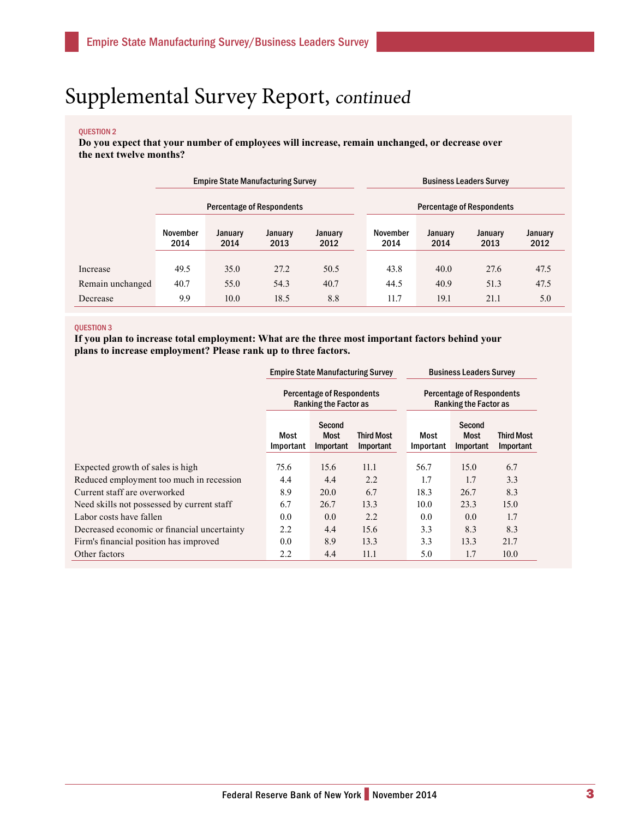#### QUESTION 2

**Do you expect that your number of employees will increase, remain unchanged, or decrease over the next twelve months?**

|                  | <b>Empire State Manufacturing Survey</b> |                 |                 |                 | <b>Business Leaders Survey</b>   |                 |                 |                 |  |
|------------------|------------------------------------------|-----------------|-----------------|-----------------|----------------------------------|-----------------|-----------------|-----------------|--|
|                  | <b>Percentage of Respondents</b>         |                 |                 |                 | <b>Percentage of Respondents</b> |                 |                 |                 |  |
|                  | November<br>2014                         | January<br>2014 | January<br>2013 | January<br>2012 | November<br>2014                 | January<br>2014 | January<br>2013 | January<br>2012 |  |
| Increase         | 49.5                                     | 35.0            | 27.2            | 50.5            | 43.8                             | 40.0            | 27.6            | 47.5            |  |
| Remain unchanged | 40.7                                     | 55.0            | 54.3            | 40.7            | 44.5                             | 40.9            | 51.3            | 47.5            |  |
| Decrease         | 9.9                                      | 10.0            | 18.5            | 8.8             | 11.7                             | 19.1            | 21.1            | 5.0             |  |

#### QUESTION 3

**If you plan to increase total employment: What are the three most important factors behind your plans to increase employment? Please rank up to three factors.**

|                                             | <b>Empire State Manufacturing Survey</b><br><b>Percentage of Respondents</b><br><b>Ranking the Factor as</b> |                             |                                | <b>Business Leaders Survey</b><br><b>Percentage of Respondents</b><br><b>Ranking the Factor as</b> |                                    |                                |  |
|---------------------------------------------|--------------------------------------------------------------------------------------------------------------|-----------------------------|--------------------------------|----------------------------------------------------------------------------------------------------|------------------------------------|--------------------------------|--|
|                                             |                                                                                                              |                             |                                |                                                                                                    |                                    |                                |  |
|                                             | Most<br>Important                                                                                            | Second<br>Most<br>Important | <b>Third Most</b><br>Important | Most<br>Important                                                                                  | Second<br><b>Most</b><br>Important | <b>Third Most</b><br>Important |  |
| Expected growth of sales is high            | 75.6                                                                                                         | 15.6                        | 11.1                           | 56.7                                                                                               | 15.0                               | 6.7                            |  |
| Reduced employment too much in recession    | 4.4                                                                                                          | 4.4                         | 2.2                            | 1.7                                                                                                | 1.7                                | 3.3                            |  |
| Current staff are overworked                | 8.9                                                                                                          | 20.0                        | 6.7                            | 18.3                                                                                               | 26.7                               | 8.3                            |  |
| Need skills not possessed by current staff  | 6.7                                                                                                          | 26.7                        | 13.3                           | 10.0                                                                                               | 23.3                               | 15.0                           |  |
| Labor costs have fallen                     | 0.0                                                                                                          | 0.0                         | 2.2                            | 0.0                                                                                                | 0.0                                | 1.7                            |  |
| Decreased economic or financial uncertainty | 2.2                                                                                                          | 4.4                         | 15.6                           | 3.3                                                                                                | 8.3                                | 8.3                            |  |
| Firm's financial position has improved      | 0.0                                                                                                          | 8.9                         | 13.3                           | 3.3                                                                                                | 13.3                               | 21.7                           |  |
| Other factors                               | 2.2                                                                                                          | 4.4                         | 11.1                           | 5.0                                                                                                | 1.7                                | 10.0                           |  |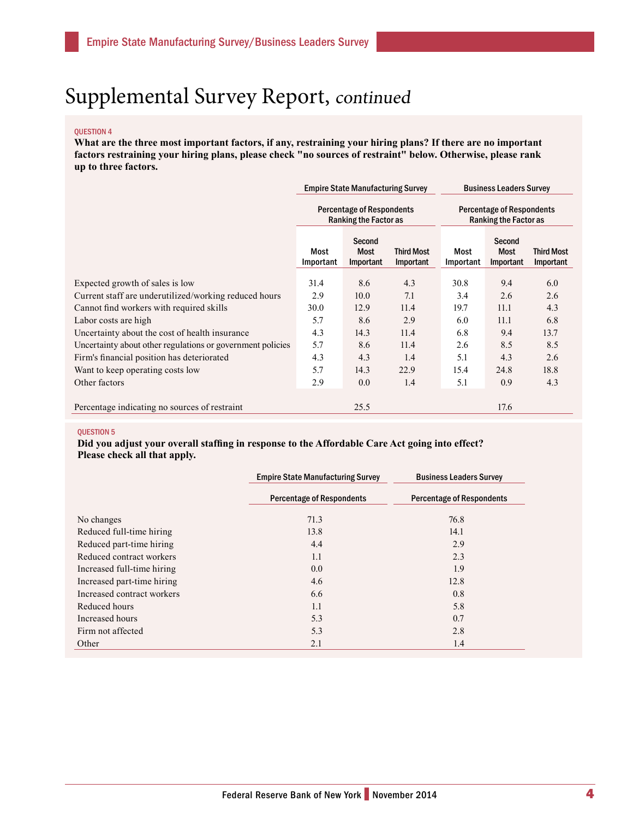#### QUESTION 4

**What are the three most important factors, if any, restraining your hiring plans? If there are no important factors restraining your hiring plans, please check "no sources of restraint" below. Otherwise, please rank up to three factors.**

|                                                            | <b>Empire State Manufacturing Survey</b> |                                                                  |                                | <b>Business Leaders Survey</b>                                   |                             |                                |
|------------------------------------------------------------|------------------------------------------|------------------------------------------------------------------|--------------------------------|------------------------------------------------------------------|-----------------------------|--------------------------------|
|                                                            |                                          | <b>Percentage of Respondents</b><br><b>Ranking the Factor as</b> |                                | <b>Percentage of Respondents</b><br><b>Ranking the Factor as</b> |                             |                                |
|                                                            | Most<br>Important                        | Second<br>Most<br>Important                                      | <b>Third Most</b><br>Important | Most<br>Important                                                | Second<br>Most<br>Important | <b>Third Most</b><br>Important |
| Expected growth of sales is low                            | 31.4                                     | 8.6                                                              | 4.3                            | 30.8                                                             | 9.4                         | 6.0                            |
| Current staff are underutilized/working reduced hours      | 2.9                                      | 10.0                                                             | 7.1                            | 3.4                                                              | 2.6                         | 2.6                            |
| Cannot find workers with required skills                   | 30.0                                     | 12.9                                                             | 11.4                           | 19.7                                                             | 11.1                        | 4.3                            |
| Labor costs are high                                       | 5.7                                      | 8.6                                                              | 2.9                            | 6.0                                                              | 11.1                        | 6.8                            |
| Uncertainty about the cost of health insurance             | 4.3                                      | 14.3                                                             | 11.4                           | 6.8                                                              | 9.4                         | 13.7                           |
| Uncertainty about other regulations or government policies | 5.7                                      | 8.6                                                              | 11.4                           | 2.6                                                              | 8.5                         | 8.5                            |
| Firm's financial position has deteriorated                 | 4.3                                      | 4.3                                                              | 1.4                            | 5.1                                                              | 4.3                         | 2.6                            |
| Want to keep operating costs low                           | 5.7                                      | 14.3                                                             | 22.9                           | 15.4                                                             | 24.8                        | 18.8                           |
| Other factors                                              | 2.9                                      | 0.0                                                              | 1.4                            | 5.1                                                              | 0.9                         | 4.3                            |
| Percentage indicating no sources of restraint              |                                          | 25.5                                                             |                                |                                                                  | 17.6                        |                                |

### QUESTION 5

**Did you adjust your overall staffing in response to the Affordable Care Act going into effect? Please check all that apply.**

|                            | <b>Empire State Manufacturing Survey</b> | <b>Business Leaders Survey</b>   |
|----------------------------|------------------------------------------|----------------------------------|
|                            | <b>Percentage of Respondents</b>         | <b>Percentage of Respondents</b> |
| No changes                 | 71.3                                     | 76.8                             |
| Reduced full-time hiring   | 13.8                                     | 14.1                             |
| Reduced part-time hiring   | 4.4                                      | 2.9                              |
| Reduced contract workers   | 1.1                                      | 2.3                              |
| Increased full-time hiring | 0.0                                      | 1.9                              |
| Increased part-time hiring | 4.6                                      | 12.8                             |
| Increased contract workers | 6.6                                      | 0.8                              |
| Reduced hours              | 1.1                                      | 5.8                              |
| Increased hours            | 5.3                                      | 0.7                              |
| Firm not affected          | 5.3                                      | 2.8                              |
| Other                      | 2.1                                      | 1.4                              |